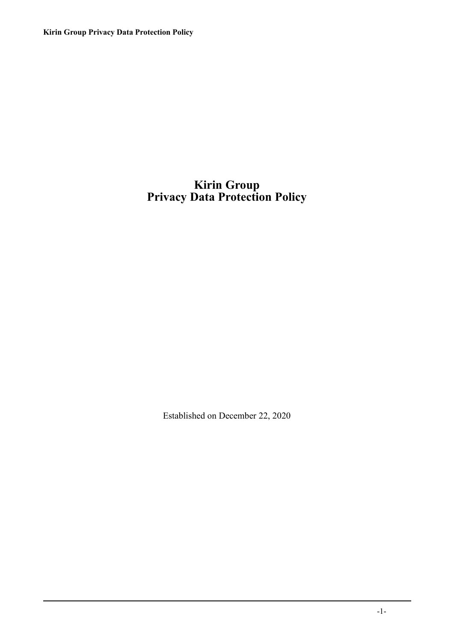**Kirin Group Privacy Data Protection Policy**

## **Kirin Group Privacy Data Protection Policy**

Established on December 22, 2020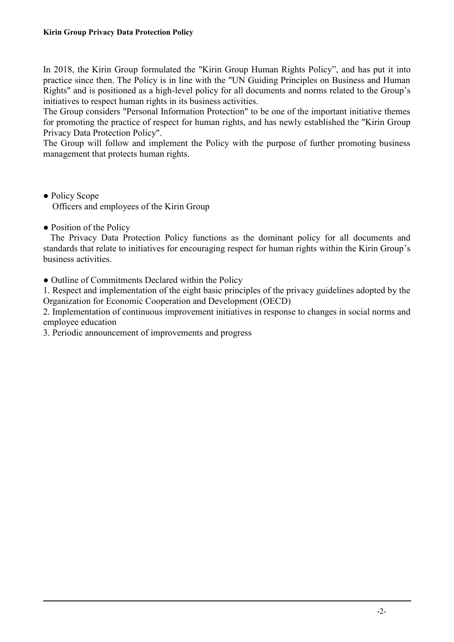In 2018, the Kirin Group formulated the "Kirin Group Human Rights Policy", and has put it into practice since then. The Policy is in line with the "UN Guiding Principles on Business and Human Rights" and is positioned as a high-level policy for all documents and norms related to the Group's initiatives to respect human rights in its business activities.

The Group considers "Personal Information Protection" to be one of the important initiative themes for promoting the practice of respect for human rights, and has newly established the "Kirin Group Privacy Data Protection Policy".

The Group will follow and implement the Policy with the purpose of further promoting business management that protects human rights.

- Policy Scope Officers and employees of the Kirin Group
- Position of the Policy

The Privacy Data Protection Policy functions as the dominant policy for all documents and standards that relate to initiatives for encouraging respect for human rights within the Kirin Group's business activities.

• Outline of Commitments Declared within the Policy

1. Respect and implementation of the eight basic principles of the privacy guidelines adopted by the Organization for Economic Cooperation and Development (OECD)

2. Implementation of continuous improvement initiatives in response to changes in social norms and employee education

3. Periodic announcement of improvements and progress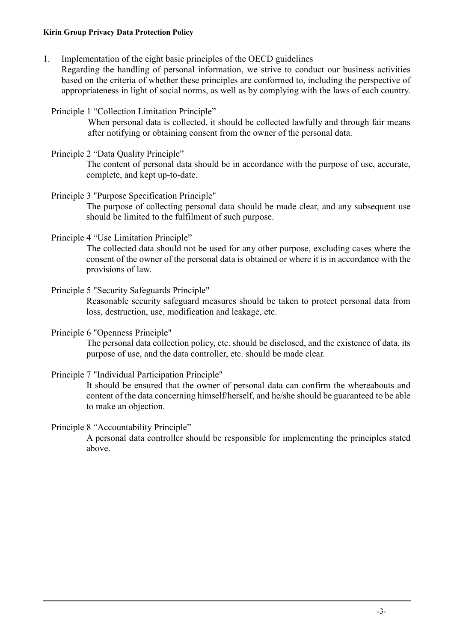## **Kirin Group Privacy Data Protection Policy**

1. Implementation of the eight basic principles of the OECD guidelines

Regarding the handling of personal information, we strive to conduct our business activities based on the criteria of whether these principles are conformed to, including the perspective of appropriateness in light of social norms, as well as by complying with the laws of each country.

Principle 1 "Collection Limitation Principle"

When personal data is collected, it should be collected lawfully and through fair means after notifying or obtaining consent from the owner of the personal data.

Principle 2 "Data Quality Principle"

The content of personal data should be in accordance with the purpose of use, accurate, complete, and kept up-to-date.

Principle 3 "Purpose Specification Principle"

The purpose of collecting personal data should be made clear, and any subsequent use should be limited to the fulfilment of such purpose.

Principle 4 "Use Limitation Principle"

The collected data should not be used for any other purpose, excluding cases where the consent of the owner of the personal data is obtained or where it is in accordance with the provisions of law.

Principle 5 "Security Safeguards Principle"

Reasonable security safeguard measures should be taken to protect personal data from loss, destruction, use, modification and leakage, etc.

Principle 6 "Openness Principle"

The personal data collection policy, etc. should be disclosed, and the existence of data, its purpose of use, and the data controller, etc. should be made clear.

Principle 7 "Individual Participation Principle"

It should be ensured that the owner of personal data can confirm the whereabouts and content of the data concerning himself/herself, and he/she should be guaranteed to be able to make an objection.

Principle 8 "Accountability Principle"

A personal data controller should be responsible for implementing the principles stated above.